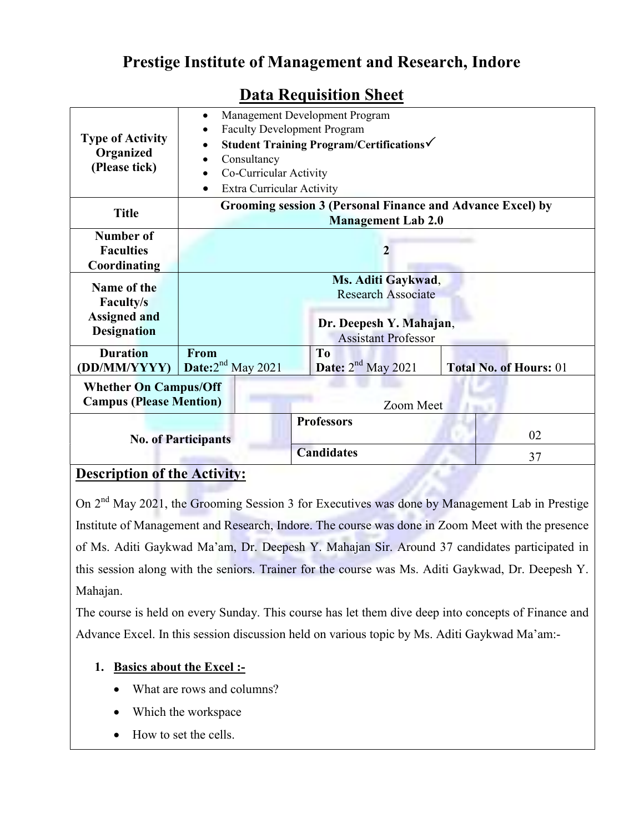# Prestige Institute of Management and Research, Indore

| <b>Type of Activity</b><br>Organized<br>(Please tick) | Management Development Program<br>$\bullet$<br><b>Faculty Development Program</b><br>Student Training Program/Certifications√<br>Consultancy<br>Co-Curricular Activity<br>$\bullet$<br><b>Extra Curricular Activity</b><br>$\bullet$ |  |                      |  |                               |  |  |
|-------------------------------------------------------|--------------------------------------------------------------------------------------------------------------------------------------------------------------------------------------------------------------------------------------|--|----------------------|--|-------------------------------|--|--|
| <b>Title</b>                                          | Grooming session 3 (Personal Finance and Advance Excel) by<br><b>Management Lab 2.0</b>                                                                                                                                              |  |                      |  |                               |  |  |
| Number of                                             |                                                                                                                                                                                                                                      |  |                      |  |                               |  |  |
| <b>Faculties</b>                                      | $\mathbf{2}$                                                                                                                                                                                                                         |  |                      |  |                               |  |  |
| Coordinating                                          |                                                                                                                                                                                                                                      |  |                      |  |                               |  |  |
|                                                       | Ms. Aditi Gaykwad,                                                                                                                                                                                                                   |  |                      |  |                               |  |  |
| Name of the                                           |                                                                                                                                                                                                                                      |  |                      |  |                               |  |  |
| <b>Faculty/s</b>                                      | <b>Research Associate</b>                                                                                                                                                                                                            |  |                      |  |                               |  |  |
|                                                       |                                                                                                                                                                                                                                      |  |                      |  |                               |  |  |
| <b>Assigned and</b>                                   | Dr. Deepesh Y. Mahajan,<br><b>Assistant Professor</b>                                                                                                                                                                                |  |                      |  |                               |  |  |
| <b>Designation</b>                                    |                                                                                                                                                                                                                                      |  |                      |  |                               |  |  |
| <b>Duration</b>                                       | <b>From</b>                                                                                                                                                                                                                          |  | T <sub>0</sub>       |  |                               |  |  |
|                                                       |                                                                                                                                                                                                                                      |  |                      |  |                               |  |  |
| (DD/MM/YYYY)                                          | Date: $2nd$ May 2021                                                                                                                                                                                                                 |  | Date: $2nd$ May 2021 |  | <b>Total No. of Hours: 01</b> |  |  |
| <b>Whether On Campus/Off</b>                          |                                                                                                                                                                                                                                      |  |                      |  |                               |  |  |
| <b>Campus (Please Mention)</b>                        |                                                                                                                                                                                                                                      |  |                      |  |                               |  |  |
|                                                       | Zoom Meet                                                                                                                                                                                                                            |  |                      |  |                               |  |  |
|                                                       |                                                                                                                                                                                                                                      |  | <b>Professors</b>    |  |                               |  |  |
| <b>No. of Participants</b>                            |                                                                                                                                                                                                                                      |  |                      |  | 02                            |  |  |
|                                                       |                                                                                                                                                                                                                                      |  | <b>Candidates</b>    |  | 37                            |  |  |

## Data Requisition Sheet

## Description of the Activity:

On 2<sup>nd</sup> May 2021, the Grooming Session 3 for Executives was done by Management Lab in Prestige Institute of Management and Research, Indore. The course was done in Zoom Meet with the presence of Ms. Aditi Gaykwad Ma'am, Dr. Deepesh Y. Mahajan Sir. Around 37 candidates participated in this session along with the seniors. Trainer for the course was Ms. Aditi Gaykwad, Dr. Deepesh Y. Mahajan.

The course is held on every Sunday. This course has let them dive deep into concepts of Finance and Advance Excel. In this session discussion held on various topic by Ms. Aditi Gaykwad Ma'am:-

#### 1. Basics about the Excel :-

- What are rows and columns?
- Which the workspace
- How to set the cells.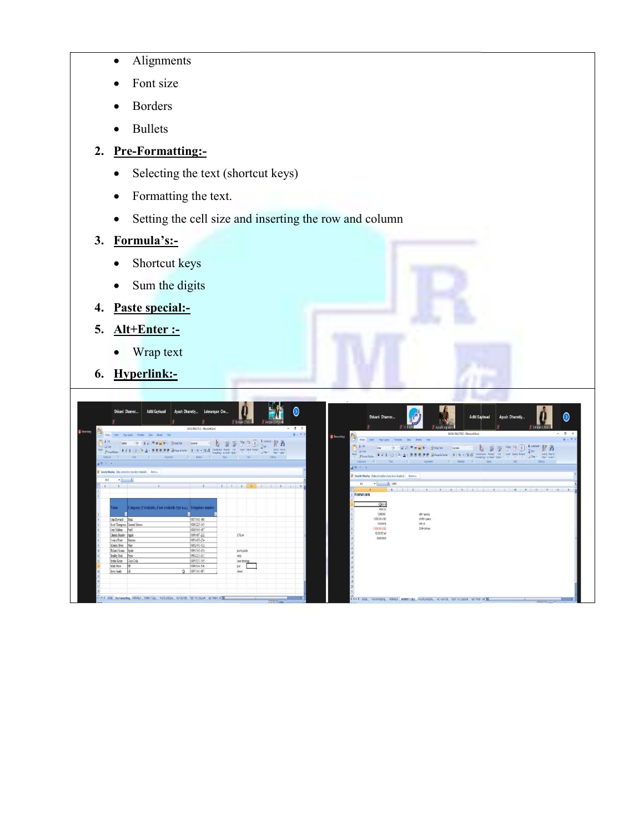- Alignments
- Font size
- Borders
- Bullets

### 2. Pre-Formatting:-

- Selecting the text (shortcut keys)
- Formatting the text.
- Selecting the text (shortcut keys)<br>
Formatting the text.<br>
Setting the cell size and inserting the row and column

### 3. Formula's:-

- Shortcut keys
- Sum the digits
- 4. Paste special:-
- 5. Alt+Enter :-
	- Wrap text
- 6. Hyperlink:-